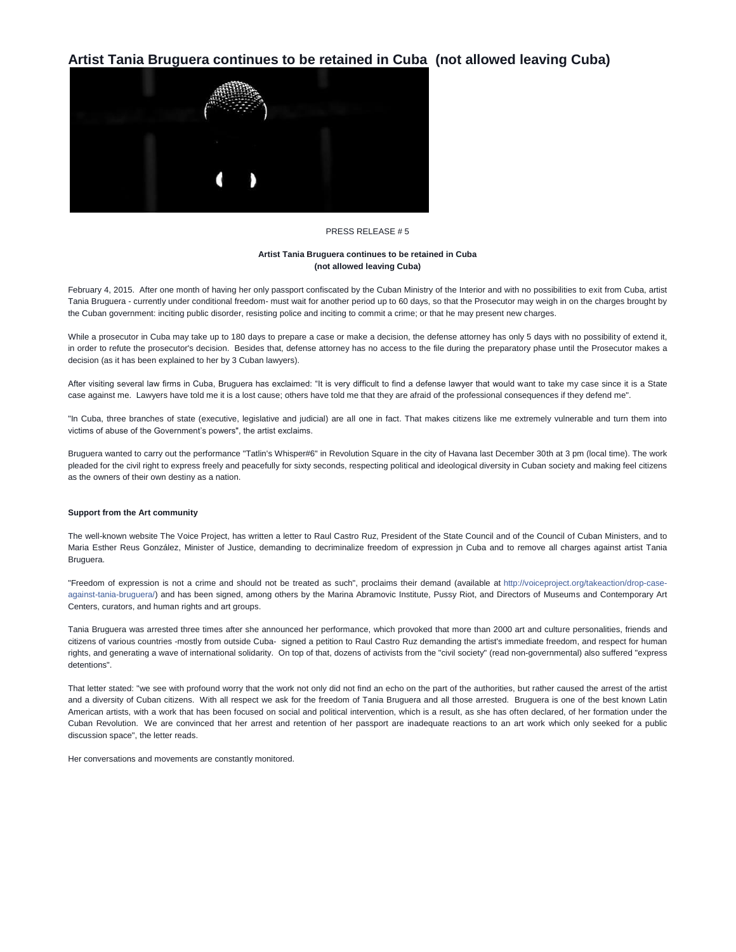# **Artist Tania Bruguera continues to be retained in Cuba (not allowed leaving Cuba)**



# PRESS RELEASE # 5

### **Artist Tania Bruguera continues to be retained in Cuba (not allowed leaving Cuba)**

February 4, 2015. After one month of having her only passport confiscated by the Cuban Ministry of the Interior and with no possibilities to exit from Cuba, artist Tania Bruguera - currently under conditional freedom- must wait for another period up to 60 days, so that the Prosecutor may weigh in on the charges brought by the Cuban government: inciting public disorder, resisting police and inciting to commit a crime; or that he may present new charges.

While a prosecutor in Cuba may take up to 180 days to prepare a case or make a decision, the defense attorney has only 5 days with no possibility of extend it, in order to refute the prosecutor's decision. Besides that, defense attorney has no access to the file during the preparatory phase until the Prosecutor makes a decision (as it has been explained to her by 3 Cuban lawyers).

After visiting several law firms in Cuba, Bruguera has exclaimed: "It is very difficult to find a defense lawyer that would want to take my case since it is a State case against me. Lawyers have told me it is a lost cause; others have told me that they are afraid of the professional consequences if they defend me".

"In Cuba, three branches of state (executive, legislative and judicial) are all one in fact. That makes citizens like me extremely vulnerable and turn them into victims of abuse of the Government's powers", the artist exclaims.

Bruguera wanted to carry out the performance "Tatlin's Whisper#6" in Revolution Square in the city of Havana last December 30th at 3 pm (local time). The work pleaded for the civil right to express freely and peacefully for sixty seconds, respecting political and ideological diversity in Cuban society and making feel citizens as the owners of their own destiny as a nation.

#### **Support from the Art community**

The well-known website The Voice Project, has written a letter to Raul Castro Ruz, President of the State Council and of the Council of Cuban Ministers, and to Maria Esther Reus González, Minister of Justice, demanding to decriminalize freedom of expression jn Cuba and to remove all charges against artist Tania Bruguera.

"Freedom of expression is not a crime and should not be treated as such", proclaims their demand (available at [http://voiceproject.org/takeaction/drop-case](http://l.facebook.com/l.php?u=http%3A%2F%2Fvoiceproject.org%2Ftakeaction%2Fdrop-case-against-tania-bruguera%2F&h=WAQE4aShH&s=1)[against-tania-bruguera/\)](http://l.facebook.com/l.php?u=http%3A%2F%2Fvoiceproject.org%2Ftakeaction%2Fdrop-case-against-tania-bruguera%2F&h=WAQE4aShH&s=1) and has been signed, among others by the Marina Abramovic Institute, Pussy Riot, and Directors of Museums and Contemporary Art Centers, curators, and human rights and art groups.

Tania Bruguera was arrested three times after she announced her performance, which provoked that more than 2000 art and culture personalities, friends and citizens of various countries -mostly from outside Cuba- signed a petition to Raul Castro Ruz demanding the artist's immediate freedom, and respect for human rights, and generating a wave of international solidarity. On top of that, dozens of activists from the "civil society" (read non-governmental) also suffered "express detentions".

That letter stated: "we see with profound worry that the work not only did not find an echo on the part of the authorities, but rather caused the arrest of the artist and a diversity of Cuban citizens. With all respect we ask for the freedom of Tania Bruguera and all those arrested. Bruguera is one of the best known Latin American artists, with a work that has been focused on social and political intervention, which is a result, as she has often declared, of her formation under the Cuban Revolution. We are convinced that her arrest and retention of her passport are inadequate reactions to an art work which only seeked for a public discussion space", the letter reads.

Her conversations and movements are constantly monitored.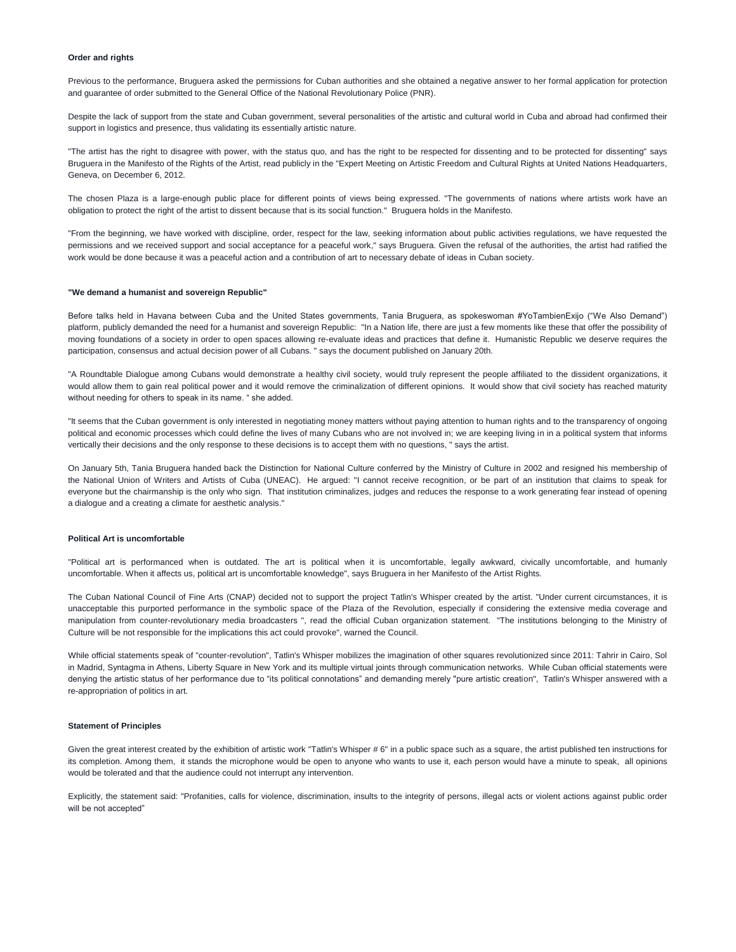# **Order and rights**

Previous to the performance, Bruguera asked the permissions for Cuban authorities and she obtained a negative answer to her formal application for protection and guarantee of order submitted to the General Office of the National Revolutionary Police (PNR).

Despite the lack of support from the state and Cuban government, several personalities of the artistic and cultural world in Cuba and abroad had confirmed their support in logistics and presence, thus validating its essentially artistic nature.

"The artist has the right to disagree with power, with the status quo, and has the right to be respected for dissenting and to be protected for dissenting" says Bruguera in the Manifesto of the Rights of the Artist, read publicly in the "Expert Meeting on Artistic Freedom and Cultural Rights at United Nations Headquarters, Geneva, on December 6, 2012.

The chosen Plaza is a large-enough public place for different points of views being expressed. "The governments of nations where artists work have an obligation to protect the right of the artist to dissent because that is its social function." Bruguera holds in the Manifesto.

"From the beginning, we have worked with discipline, order, respect for the law, seeking information about public activities regulations, we have requested the permissions and we received support and social acceptance for a peaceful work," says Bruguera. Given the refusal of the authorities, the artist had ratified the work would be done because it was a peaceful action and a contribution of art to necessary debate of ideas in Cuban society.

#### **"We demand a humanist and sovereign Republic"**

Before talks held in Havana between Cuba and the United States governments, Tania Bruguera, as spokeswoman #YoTambienExijo ("We Also Demand") platform, publicly demanded the need for a humanist and sovereign Republic: "In a Nation life, there are just a few moments like these that offer the possibility of moving foundations of a society in order to open spaces allowing re-evaluate ideas and practices that define it. Humanistic Republic we deserve requires the participation, consensus and actual decision power of all Cubans. " says the document published on January 20th.

"A Roundtable Dialogue among Cubans would demonstrate a healthy civil society, would truly represent the people affiliated to the dissident organizations, it would allow them to gain real political power and it would remove the criminalization of different opinions. It would show that civil society has reached maturity without needing for others to speak in its name. " she added.

"It seems that the Cuban government is only interested in negotiating money matters without paying attention to human rights and to the transparency of ongoing political and economic processes which could define the lives of many Cubans who are not involved in; we are keeping living in in a political system that informs vertically their decisions and the only response to these decisions is to accept them with no questions, " says the artist.

On January 5th, Tania Bruguera handed back the Distinction for National Culture conferred by the Ministry of Culture in 2002 and resigned his membership of the National Union of Writers and Artists of Cuba (UNEAC). He argued: "I cannot receive recognition, or be part of an institution that claims to speak for everyone but the chairmanship is the only who sign. That institution criminalizes, judges and reduces the response to a work generating fear instead of opening a dialogue and a creating a climate for aesthetic analysis."

#### **Political Art is uncomfortable**

"Political art is performanced when is outdated. The art is political when it is uncomfortable, legally awkward, civically uncomfortable, and humanly uncomfortable. When it affects us, political art is uncomfortable knowledge", says Bruguera in her Manifesto of the Artist Rights.

The Cuban National Council of Fine Arts (CNAP) decided not to support the project Tatlin's Whisper created by the artist. "Under current circumstances, it is unacceptable this purported performance in the symbolic space of the Plaza of the Revolution, especially if considering the extensive media coverage and manipulation from counter-revolutionary media broadcasters ", read the official Cuban organization statement. "The institutions belonging to the Ministry of Culture will be not responsible for the implications this act could provoke", warned the Council.

While official statements speak of "counter-revolution", Tatlin's Whisper mobilizes the imagination of other squares revolutionized since 2011: Tahrir in Cairo, Sol in Madrid, Syntagma in Athens, Liberty Square in New York and its multiple virtual joints through communication networks. While Cuban official statements were denying the artistic status of her performance due to "its political connotations" and demanding merely "pure artistic creation", Tatlin's Whisper answered with a re-appropriation of politics in art.

#### **Statement of Principles**

Given the great interest created by the exhibition of artistic work "Tatlin's Whisper # 6" in a public space such as a square, the artist published ten instructions for its completion. Among them, it stands the microphone would be open to anyone who wants to use it, each person would have a minute to speak, all opinions would be tolerated and that the audience could not interrupt any intervention.

Explicitly, the statement said: "Profanities, calls for violence, discrimination, insults to the integrity of persons, illegal acts or violent actions against public order will be not accepted"